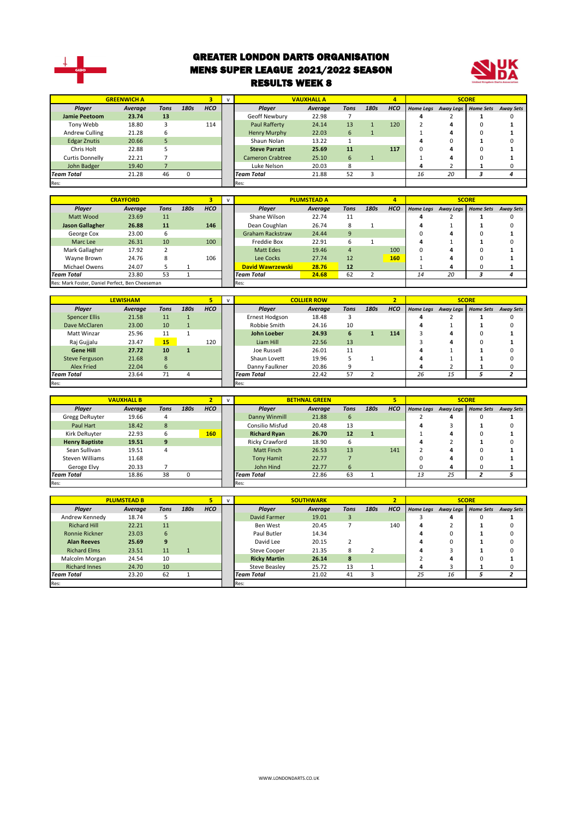

#### GREATER LONDON DARTS ORGANISATION MENS SUPER LEAGUE 2021/2022 SEASON RESULTS WEEK 8



|                     | <b>GREENWICH A</b> |      |      |            |                         | <b>VAUXHALL A</b> |             |      | 4          |                  |           | <b>SCORE</b>     |                  |
|---------------------|--------------------|------|------|------------|-------------------------|-------------------|-------------|------|------------|------------------|-----------|------------------|------------------|
| Player              | Average            | Tons | 180s | <b>HCO</b> | <b>Plaver</b>           | Average           | <b>Tons</b> | 180s | <b>HCO</b> | <b>Home Legs</b> | Away Legs | <b>Home Sets</b> | <b>Away Sets</b> |
| Jamie Peetoom       | 23.74              | 13   |      |            | Geoff Newbury           | 22.98             |             |      |            |                  |           |                  |                  |
| Tony Webb           | 18.80              |      |      | 114        | Paul Rafferty           | 24.14             | 13          |      | 120        |                  |           |                  |                  |
| Andrew Culling      | 21.28              | 6    |      |            | Henry Murphy            | 22.03             | 6           |      |            |                  |           |                  |                  |
| <b>Edgar Znutis</b> | 20.66              | 5    |      |            | Shaun Nolan             | 13.22             |             |      |            |                  |           |                  |                  |
| Chris Holt          | 22.88              |      |      |            | <b>Steve Parratt</b>    | 25.69             | 11          |      | 117        |                  |           |                  |                  |
| Curtis Donnelly     | 22.21              |      |      |            | <b>Cameron Crabtree</b> | 25.10             | 6           |      |            |                  |           |                  |                  |
| John Badger         | 19.40              |      |      |            | Luke Nelson             | 20.03             | 8           |      |            |                  |           |                  |                  |
| Team Total          | 21.28              | 46   |      |            | <b>Team Total</b>       | 21.88             | 52          |      |            | 16               | 20        |                  |                  |
| Res:                |                    |      |      |            | Res:                    |                   |             |      |            |                  |           |                  |                  |

|                                                 | <b>CRAYFORD</b> |      |      |            |      |                                  | <b>PLUMSTEAD A</b> |      |      | 4          |                  |                  | <b>SCORE</b>     |                  |
|-------------------------------------------------|-----------------|------|------|------------|------|----------------------------------|--------------------|------|------|------------|------------------|------------------|------------------|------------------|
| Player                                          | Average         | Tons | 180s | <b>HCO</b> |      | Player                           | Average            | Tons | 180s | <b>HCO</b> | <b>Home Legs</b> | <b>Away Legs</b> | <b>Home Sets</b> | <b>Away Sets</b> |
| Matt Wood                                       | 23.69           | 11   |      |            |      | Shane Wilson                     | 22.74              | 11   |      |            | 4                |                  |                  |                  |
| <b>Jason Gallagher</b>                          | 26.88           | 11   |      | 146        |      | Dean Coughlan                    | 26.74              | 8    |      |            | 4                |                  |                  |                  |
| George Cox                                      | 23.00           | 6    |      |            |      | <b>Graham Rackstraw</b>          | 24.44              | 9    |      |            | 0                | 4                | 0                |                  |
| Marc Lee                                        | 26.31           | 10   |      | 100        |      | Freddie Box                      | 22.91              | 6    |      |            | 4                |                  |                  |                  |
| Mark Gallagher                                  | 17.92           | 2    |      |            |      | Matt Edes                        | 19.46              | 4    |      | 100        | $\Omega$         | 4                |                  |                  |
| Wavne Brown                                     | 24.76           | 8    |      | 106        |      | Lee Cocks                        | 27.74              | 12   |      | 160        |                  | 4                |                  |                  |
| Michael Owens                                   | 24.07           |      |      |            |      | <b>David Wawrzewski</b>          | 28.76              | 12   |      |            |                  | 4                | $\Omega$         |                  |
| <b>Team Total</b>                               | 23.80           | 53   |      |            |      | 24.68<br>62<br><b>Team Total</b> |                    |      |      | 14         | 20               |                  |                  |                  |
| Res: Mark Foster, Daniel Perfect, Ben Cheeseman |                 |      |      |            | Res: |                                  |                    |      |      |            |                  |                  |                  |                  |

|                       | <b>LEWISHAM</b> |      |      |            |                   | <b>COLLIER ROW</b> |      |      | 2          |    |                     | <b>SCORE</b>     |                  |
|-----------------------|-----------------|------|------|------------|-------------------|--------------------|------|------|------------|----|---------------------|------------------|------------------|
| Player                | Average         | Tons | 180s | <b>HCO</b> | Player            | Average            | Tons | 180s | <b>HCO</b> |    | Home Legs Away Legs | <b>Home Sets</b> | <b>Away Sets</b> |
| <b>Spencer Ellis</b>  | 21.58           | 11   |      |            | Ernest Hodgson    | 18.48              |      |      |            |    |                     |                  |                  |
| Dave McClaren         | 23.00           | 10   |      |            | Robbie Smith      | 24.16              | 10   |      |            |    |                     |                  |                  |
| Matt Winzar           | 25.96           | 11   |      |            | John Loeber       | 24.93              | 6    |      | 114        |    | 4                   |                  |                  |
| Raj Gujjalu           | 23.47           | 15   |      | 120        | Liam Hill         | 22.56              | 13   |      |            |    | 4                   |                  |                  |
| <b>Gene Hill</b>      | 27.72           | 10   |      |            | Joe Russell       | 26.01              | 11   |      |            |    |                     |                  |                  |
| <b>Steve Ferguson</b> | 21.68           | 8    |      |            | Shaun Lovett      | 19.96              |      |      |            |    |                     |                  |                  |
| Alex Fried            | 22.04           | 6    |      |            | Danny Faulkner    | 20.86              |      |      |            | 4  |                     |                  |                  |
| <b>Team Total</b>     | 23.64           | 71   |      |            | <b>Team Total</b> | 22.42              | 57   |      |            | 26 | 15                  |                  |                  |
| Res:                  |                 |      |      |            | Res:              |                    |      |      |            |    |                     |                  |                  |

|                       |                   |      |              |            |                     |                      |      |      | 5          |    |                     |                  |                  |
|-----------------------|-------------------|------|--------------|------------|---------------------|----------------------|------|------|------------|----|---------------------|------------------|------------------|
|                       | <b>VAUXHALL B</b> |      |              |            |                     | <b>BETHNAL GREEN</b> |      |      |            |    |                     | <b>SCORE</b>     |                  |
| Player                | Average           | Tons | 180s         | <b>HCO</b> | Player              | Average              | Tons | 180s | <b>HCO</b> |    | Home Legs Away Legs | <b>Home Sets</b> | <b>Away Sets</b> |
| Gregg DeRuyter        | 19.66             | 4    |              |            | Danny Winmill       | 21.88                | 6    |      |            |    |                     |                  |                  |
| Paul Hart             | 18.42             | 8    |              |            | Consilio Misfud     | 20.48                | 13   |      |            |    |                     |                  |                  |
| Kirk DeRuyter         | 22.93             | 6    |              | 160        | <b>Richard Ryan</b> | 26.70                | 12   | 1    |            |    |                     |                  |                  |
| <b>Henry Baptiste</b> | 19.51             | 9    |              |            | Ricky Crawford      | 18.90                | b    |      |            |    |                     |                  |                  |
| Sean Sullivan         | 19.51             | 4    |              |            | Matt Finch          | 26.53                | 13   |      | 141        |    | д                   |                  |                  |
| Steven Williams       | 11.68             |      |              |            | <b>Tony Hamit</b>   | 22.77                |      |      |            |    |                     |                  |                  |
| Geroge Elvy           | 20.33             |      |              |            | John Hind           | 22.77                | 6    |      |            | 0  | 4                   |                  |                  |
| <b>Team Total</b>     | 18.86             | 38   | <sup>0</sup> |            | Team Total          | 22.86                | 63   |      |            | 13 | 25                  |                  |                  |
| Res:                  |                   |      |              |            | Res:                |                      |      |      |            |    |                     |                  |                  |

|                       | <b>PLUMSTEAD B</b> |      |      |            |                     | <b>SOUTHWARK</b> |             |      |            |    |                     | <b>SCORE</b>     |                  |
|-----------------------|--------------------|------|------|------------|---------------------|------------------|-------------|------|------------|----|---------------------|------------------|------------------|
| Player                | Average            | Tons | 180s | <b>HCO</b> | <b>Plaver</b>       | Average          | <b>Tons</b> | 180s | <b>HCO</b> |    | Home Legs Away Legs | <b>Home Sets</b> | <b>Away Sets</b> |
| Andrew Kennedy        | 18.74              |      |      |            | David Farmer        | 19.01            | 3           |      |            |    | Δ                   | O                |                  |
| <b>Richard Hill</b>   | 22.21              | 11   |      |            | Ben West            | 20.45            |             |      | 140        | 4  |                     |                  |                  |
| <b>Ronnie Rickner</b> | 23.03              | 6    |      |            | Paul Butler         | 14.34            |             |      |            |    |                     |                  |                  |
| <b>Alan Reeves</b>    | 25.69              | 9    |      |            | David Lee           | 20.15            |             |      |            |    |                     |                  |                  |
| <b>Richard Elms</b>   | 23.51              | 11   |      |            | <b>Steve Cooper</b> | 21.35            |             |      |            | д  |                     |                  |                  |
| Malcolm Morgan        | 24.54              | 10   |      |            | <b>Ricky Martin</b> | 26.14            | 8           |      |            |    |                     |                  |                  |
| <b>Richard Innes</b>  | 24.70              | 10   |      |            | Steve Beasley       | 25.72            | 13          |      |            | д  |                     |                  |                  |
| <b>Team Total</b>     | 23.20              | 62   |      |            | <b>Team Total</b>   | 21.02            | 41          |      |            | 25 | 16                  |                  |                  |
| Res:                  |                    |      |      |            | Res:                |                  |             |      |            |    |                     |                  |                  |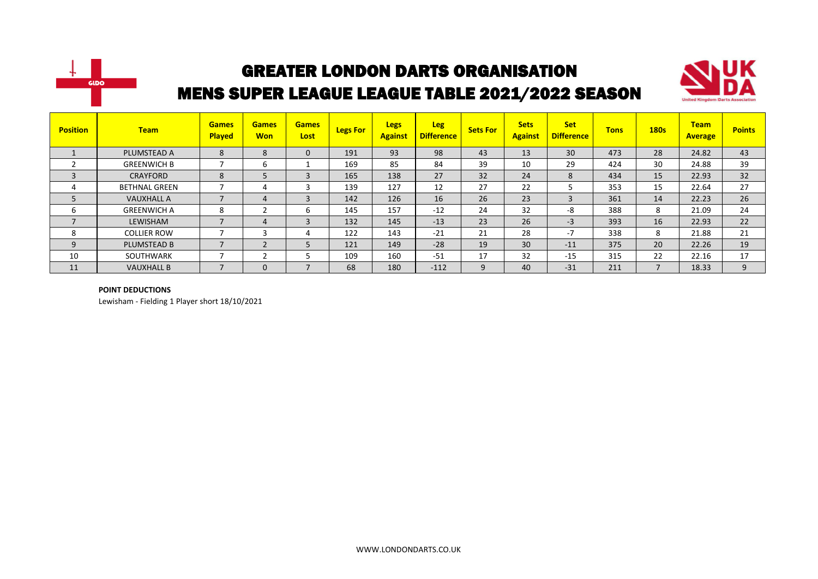



| <b>Position</b> | <b>Team</b>          | <b>Games</b><br><b>Played</b> | <b>Games</b><br><b>Won</b> | <b>Games</b><br>Lost | <b>Legs For</b> | <b>Legs</b><br><b>Against</b> | <b>Leg</b><br><b>Difference</b> | <b>Sets For</b> | <b>Sets</b><br><b>Against</b> | <b>Set</b><br><b>Difference</b> | <b>Tons</b> | <b>180s</b>              | <b>Team</b><br><b>Average</b> | <b>Points</b> |
|-----------------|----------------------|-------------------------------|----------------------------|----------------------|-----------------|-------------------------------|---------------------------------|-----------------|-------------------------------|---------------------------------|-------------|--------------------------|-------------------------------|---------------|
|                 | PLUMSTEAD A          | 8                             | 8                          | 0                    | 191             | 93                            | 98                              | 43              | 13                            | 30                              | 473         | 28                       | 24.82                         | 43            |
|                 | <b>GREENWICH B</b>   |                               | 6                          |                      | 169             | 85                            | 84                              | 39              | 10                            | 29                              | 424         | 30                       | 24.88                         | 39            |
| 3               | CRAYFORD             | 8                             | 5                          | 3                    | 165             | 138                           | 27                              | 32              | 24                            | 8                               | 434         | 15                       | 22.93                         | 32            |
| 4               | <b>BETHNAL GREEN</b> |                               | 4                          |                      | 139             | 127                           | 12                              | 27              | 22                            | 5                               | 353         | 15                       | 22.64                         | 27            |
| 5               | <b>VAUXHALL A</b>    | $\overline{\phantom{0}}$      | 4                          | 3                    | 142             | 126                           | 16                              | 26              | 23                            | 3                               | 361         | 14                       | 22.23                         | 26            |
| ь               | <b>GREENWICH A</b>   | 8                             | n                          | b                    | 145             | 157                           | $-12$                           | 24              | 32                            | -8                              | 388         | 8                        | 21.09                         | 24            |
| $\overline{7}$  | LEWISHAM             | $\overline{\phantom{a}}$      | 4                          | 3                    | 132             | 145                           | $-13$                           | 23              | 26                            | $-3$                            | 393         | 16                       | 22.93                         | 22            |
| 8               | <b>COLLIER ROW</b>   |                               | 3                          | 4                    | 122             | 143                           | $-21$                           | 21              | 28                            | $-7$                            | 338         | 8                        | 21.88                         | 21            |
| 9               | <b>PLUMSTEAD B</b>   |                               | $\mathbf{D}$               |                      | 121             | 149                           | $-28$                           | 19              | 30                            | $-11$                           | 375         | 20                       | 22.26                         | 19            |
| 10              | SOUTHWARK            |                               |                            |                      | 109             | 160                           | $-51$                           | 17              | 32                            | $-15$                           | 315         | 22                       | 22.16                         | 17            |
| 11              | <b>VAUXHALL B</b>    |                               | $\mathbf 0$                |                      | 68              | 180                           | $-112$                          | 9               | 40                            | $-31$                           | 211         | $\overline{\phantom{a}}$ | 18.33                         | 9             |

#### **POINT DEDUCTIONS**

Lewisham - Fielding 1 Player short 18/10/2021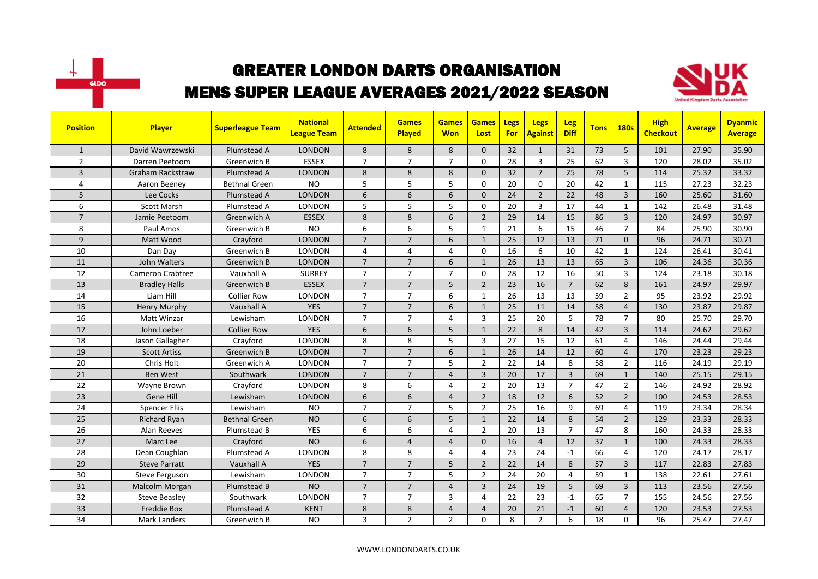



| <b>Position</b> | <b>Player</b>           | <b>Superleague Team</b> | <b>National</b><br><b>League Team</b> | <b>Attended</b> | <b>Games</b><br><b>Played</b> | <b>Games</b><br><b>Won</b> | <b>Games</b><br>Lost | Legs<br>For | <b>Legs</b><br><b>Against</b> | Leg<br><b>Diff</b> | <b>Tons</b> | <b>180s</b>    | <b>High</b><br><b>Checkout</b> | <b>Average</b> | <b>Dyanmic</b><br><b>Average</b> |
|-----------------|-------------------------|-------------------------|---------------------------------------|-----------------|-------------------------------|----------------------------|----------------------|-------------|-------------------------------|--------------------|-------------|----------------|--------------------------------|----------------|----------------------------------|
| $\mathbf{1}$    | David Wawrzewski        | Plumstead A             | <b>LONDON</b>                         | 8               | 8                             | 8                          | $\Omega$             | 32          | $\mathbf{1}$                  | 31                 | 73          | 5              | 101                            | 27.90          | 35.90                            |
| $\overline{2}$  | Darren Peetoom          | Greenwich B             | <b>ESSEX</b>                          | $\overline{7}$  | $\overline{7}$                | $\overline{7}$             | $\Omega$             | 28          | 3                             | 25                 | 62          | 3              | 120                            | 28.02          | 35.02                            |
| 3               | <b>Graham Rackstraw</b> | Plumstead A             | <b>LONDON</b>                         | 8               | 8                             | 8                          | $\mathbf{0}$         | 32          | $\overline{7}$                | 25                 | 78          | 5              | 114                            | 25.32          | 33.32                            |
| 4               | Aaron Beeney            | <b>Bethnal Green</b>    | <b>NO</b>                             | 5               | 5                             | 5                          | $\Omega$             | 20          | 0                             | 20                 | 42          | $\mathbf{1}$   | 115                            | 27.23          | 32.23                            |
| 5               | Lee Cocks               | Plumstead A             | <b>LONDON</b>                         | 6               | 6                             | 6                          | $\Omega$             | 24          | $\overline{2}$                | 22                 | 48          | $\overline{3}$ | 160                            | 25.60          | 31.60                            |
| 6               | <b>Scott Marsh</b>      | Plumstead A             | LONDON                                | 5               | 5                             | 5                          | $\Omega$             | 20          | $\overline{3}$                | 17                 | 44          | $\mathbf{1}$   | 142                            | 26.48          | 31.48                            |
| $\overline{7}$  | Jamie Peetoom           | Greenwich A             | <b>ESSEX</b>                          | 8               | 8                             | 6                          | $\overline{2}$       | 29          | 14                            | 15                 | 86          | $\overline{3}$ | 120                            | 24.97          | 30.97                            |
| 8               | Paul Amos               | Greenwich B             | <b>NO</b>                             | 6               | 6                             | 5                          | 1                    | 21          | 6                             | 15                 | 46          | $\overline{7}$ | 84                             | 25.90          | 30.90                            |
| 9               | Matt Wood               | Crayford                | <b>LONDON</b>                         | $\overline{7}$  | $\overline{7}$                | 6                          | $\mathbf{1}$         | 25          | 12                            | 13                 | 71          | $\Omega$       | 96                             | 24.71          | 30.71                            |
| 10              | Dan Day                 | Greenwich B             | <b>LONDON</b>                         | 4               | $\overline{4}$                | 4                          | $\Omega$             | 16          | 6                             | 10                 | 42          | $\mathbf{1}$   | 124                            | 26.41          | 30.41                            |
| 11              | John Walters            | Greenwich B             | <b>LONDON</b>                         | $\overline{7}$  | $\overline{7}$                | 6                          | $\mathbf{1}$         | 26          | 13                            | 13                 | 65          | $\overline{3}$ | 106                            | 24.36          | 30.36                            |
| 12              | <b>Cameron Crabtree</b> | Vauxhall A              | <b>SURREY</b>                         | $\overline{7}$  | $\overline{7}$                | $\overline{7}$             | $\mathbf 0$          | 28          | 12                            | 16                 | 50          | 3              | 124                            | 23.18          | 30.18                            |
| 13              | <b>Bradley Halls</b>    | Greenwich B             | <b>ESSEX</b>                          | $\overline{7}$  | $\overline{7}$                | 5                          | $\overline{2}$       | 23          | 16                            | $\overline{7}$     | 62          | 8              | 161                            | 24.97          | 29.97                            |
| 14              | Liam Hill               | <b>Collier Row</b>      | <b>LONDON</b>                         | $\overline{7}$  | $\overline{7}$                | 6                          | $\mathbf{1}$         | 26          | 13                            | 13                 | 59          | $\overline{2}$ | 95                             | 23.92          | 29.92                            |
| 15              | <b>Henry Murphy</b>     | Vauxhall A              | <b>YES</b>                            | $\overline{7}$  | $\overline{7}$                | 6                          | $\mathbf{1}$         | 25          | 11                            | 14                 | 58          | $\overline{4}$ | 130                            | 23.87          | 29.87                            |
| 16              | Matt Winzar             | Lewisham                | LONDON                                | $\overline{7}$  | $\overline{7}$                | 4                          | 3                    | 25          | 20                            | 5                  | 78          | $\overline{7}$ | 80                             | 25.70          | 29.70                            |
| 17              | John Loeber             | <b>Collier Row</b>      | <b>YES</b>                            | 6               | 6                             | 5                          | $\mathbf{1}$         | 22          | 8                             | 14                 | 42          | $\overline{3}$ | 114                            | 24.62          | 29.62                            |
| 18              | Jason Gallagher         | Crayford                | <b>LONDON</b>                         | 8               | 8                             | 5                          | $\overline{3}$       | 27          | 15                            | 12                 | 61          | $\overline{4}$ | 146                            | 24.44          | 29.44                            |
| 19              | <b>Scott Artiss</b>     | Greenwich B             | <b>LONDON</b>                         | $\overline{7}$  | $\overline{7}$                | 6                          | $\mathbf{1}$         | 26          | 14                            | 12                 | 60          | $\overline{4}$ | 170                            | 23.23          | 29.23                            |
| 20              | Chris Holt              | Greenwich A             | <b>LONDON</b>                         | $\overline{7}$  | $\overline{7}$                | 5                          | $\overline{2}$       | 22          | 14                            | 8                  | 58          | $\overline{2}$ | 116                            | 24.19          | 29.19                            |
| 21              | <b>Ben West</b>         | Southwark               | <b>LONDON</b>                         | $\overline{7}$  | $\overline{7}$                | 4                          | $\overline{3}$       | 20          | 17                            | $\overline{3}$     | 69          | $\mathbf{1}$   | 140                            | 25.15          | 29.15                            |
| 22              | Wayne Brown             | Crayford                | <b>LONDON</b>                         | 8               | 6                             | 4                          | $\overline{2}$       | 20          | 13                            | $\overline{7}$     | 47          | $\overline{2}$ | 146                            | 24.92          | 28.92                            |
| 23              | Gene Hill               | Lewisham                | <b>LONDON</b>                         | 6               | 6                             | $\overline{4}$             | $\overline{2}$       | 18          | 12                            | 6                  | 52          | $\overline{2}$ | 100                            | 24.53          | 28.53                            |
| 24              | <b>Spencer Ellis</b>    | Lewisham                | <b>NO</b>                             | $\overline{7}$  | $\overline{7}$                | 5                          | $\overline{2}$       | 25          | 16                            | 9                  | 69          | 4              | 119                            | 23.34          | 28.34                            |
| 25              | <b>Richard Ryan</b>     | <b>Bethnal Green</b>    | <b>NO</b>                             | 6               | 6                             | 5                          | $\mathbf{1}$         | 22          | 14                            | 8                  | 54          | $\overline{2}$ | 129                            | 23.33          | 28.33                            |
| 26              | <b>Alan Reeves</b>      | Plumstead B             | <b>YES</b>                            | 6               | 6                             | 4                          | $\overline{2}$       | 20          | 13                            | $\overline{7}$     | 47          | 8              | 160                            | 24.33          | 28.33                            |
| 27              | Marc Lee                | Crayford                | <b>NO</b>                             | 6               | $\overline{4}$                | $\overline{4}$             | $\mathbf{0}$         | 16          | $\overline{4}$                | 12                 | 37          | $\mathbf{1}$   | 100                            | 24.33          | 28.33                            |
| 28              | Dean Coughlan           | Plumstead A             | LONDON                                | 8               | 8                             | 4                          | $\overline{4}$       | 23          | 24                            | $-1$               | 66          | 4              | 120                            | 24.17          | 28.17                            |
| 29              | <b>Steve Parratt</b>    | Vauxhall A              | <b>YES</b>                            | $\overline{7}$  | $\overline{7}$                | 5                          | $\overline{2}$       | 22          | 14                            | 8                  | 57          | $\overline{3}$ | 117                            | 22.83          | 27.83                            |
| 30              | Steve Ferguson          | Lewisham                | <b>LONDON</b>                         | $\overline{7}$  | $\overline{7}$                | 5                          | $\overline{2}$       | 24          | 20                            | $\overline{4}$     | 59          | $\mathbf{1}$   | 138                            | 22.61          | 27.61                            |
| 31              | Malcolm Morgan          | Plumstead B             | <b>NO</b>                             | $\overline{7}$  | $\overline{7}$                | $\overline{4}$             | $\overline{3}$       | 24          | 19                            | 5                  | 69          | $\overline{3}$ | 113                            | 23.56          | 27.56                            |
| 32              | <b>Steve Beasley</b>    | Southwark               | LONDON                                | $\overline{7}$  | $\overline{7}$                | 3                          | $\overline{4}$       | 22          | 23                            | $-1$               | 65          | $\overline{7}$ | 155                            | 24.56          | 27.56                            |
| 33              | <b>Freddie Box</b>      | Plumstead A             | <b>KENT</b>                           | 8               | 8                             | $\overline{4}$             | $\overline{4}$       | 20          | 21                            | $-1$               | 60          | $\overline{4}$ | 120                            | 23.53          | 27.53                            |
| 34              | <b>Mark Landers</b>     | Greenwich B             | <b>NO</b>                             | 3               | $\overline{2}$                | $\overline{2}$             | $\Omega$             | 8           | $\overline{2}$                | 6                  | 18          | $\mathbf 0$    | 96                             | 25.47          | 27.47                            |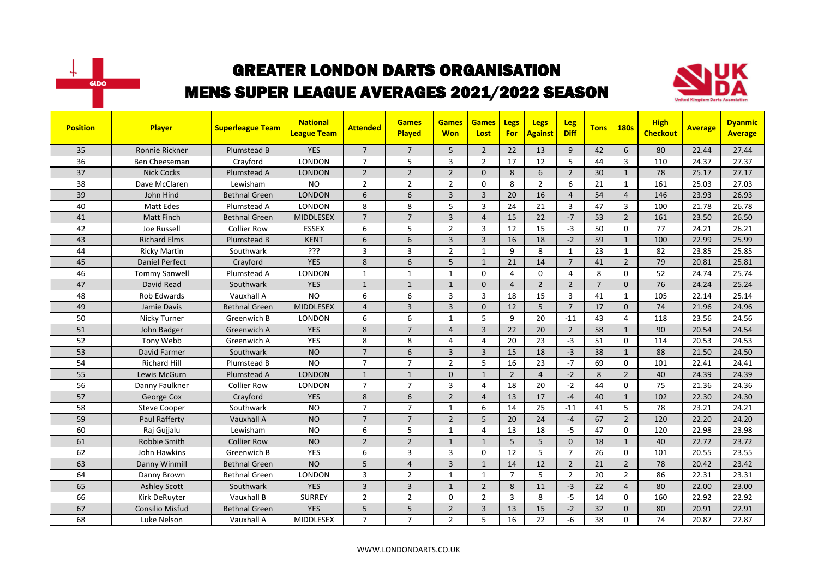



| <b>Position</b> | Player                 | <b>Superleague Team</b> | <b>National</b><br><b>League Team</b> | <b>Attended</b> | <b>Games</b><br>Played | <b>Games</b><br><b>Won</b> | <b>Games</b><br>Lost | Legs<br><b>For</b> | <b>Legs</b><br><b>Against</b> | <b>Leg</b><br><b>Diff</b> | <b>Tons</b>    | <b>180s</b>             | <b>High</b><br><b>Checkout</b> | <b>Average</b> | <b>Dyanmic</b><br><b>Average</b> |
|-----------------|------------------------|-------------------------|---------------------------------------|-----------------|------------------------|----------------------------|----------------------|--------------------|-------------------------------|---------------------------|----------------|-------------------------|--------------------------------|----------------|----------------------------------|
| 35              | Ronnie Rickner         | Plumstead B             | <b>YES</b>                            | $\overline{7}$  | $\overline{7}$         | 5                          | $\overline{2}$       | 22                 | 13                            | 9                         | 42             | 6                       | 80                             | 22.44          | 27.44                            |
| 36              | Ben Cheeseman          | Crayford                | <b>LONDON</b>                         | $\overline{7}$  | 5                      | 3                          | $\overline{2}$       | 17                 | 12                            | 5                         | 44             | $\overline{3}$          | 110                            | 24.37          | 27.37                            |
| 37              | <b>Nick Cocks</b>      | Plumstead A             | <b>LONDON</b>                         | $\overline{2}$  | $\overline{2}$         | $\overline{2}$             | $\mathbf{0}$         | 8                  | 6                             | $\overline{2}$            | 30             | $\mathbf{1}$            | 78                             | 25.17          | 27.17                            |
| 38              | Dave McClaren          | Lewisham                | <b>NO</b>                             | $\overline{2}$  | $\overline{2}$         | $\overline{2}$             | $\mathbf 0$          | 8                  | $\overline{2}$                | 6                         | 21             | $\mathbf{1}$            | 161                            | 25.03          | 27.03                            |
| 39              | John Hind              | Bethnal Green           | <b>LONDON</b>                         | 6               | 6                      | $\overline{3}$             | $\overline{3}$       | 20                 | 16                            | $\overline{4}$            | 54             | $\overline{4}$          | 146                            | 23.93          | 26.93                            |
| 40              | Matt Edes              | Plumstead A             | <b>LONDON</b>                         | 8               | 8                      | 5                          | 3                    | 24                 | 21                            | $\overline{3}$            | 47             | $\overline{\mathbf{3}}$ | 100                            | 21.78          | 26.78                            |
| 41              | <b>Matt Finch</b>      | Bethnal Green           | <b>MIDDLESEX</b>                      | $\overline{7}$  | $\overline{7}$         | $\overline{3}$             | $\overline{4}$       | 15                 | 22                            | $-7$                      | 53             | $\overline{2}$          | 161                            | 23.50          | 26.50                            |
| 42              | Joe Russell            | <b>Collier Row</b>      | <b>ESSEX</b>                          | 6               | 5                      | $\overline{2}$             | 3                    | 12                 | 15                            | $-3$                      | 50             | $\mathbf 0$             | 77                             | 24.21          | 26.21                            |
| 43              | <b>Richard Elms</b>    | Plumstead B             | <b>KENT</b>                           | 6               | 6                      | 3                          | $\overline{3}$       | 16                 | 18                            | $-2$                      | 59             | $\mathbf{1}$            | 100                            | 22.99          | 25.99                            |
| 44              | <b>Ricky Martin</b>    | Southwark               | ???                                   | 3               | $\overline{3}$         | $\overline{2}$             | $\mathbf{1}$         | 9                  | 8                             | $\mathbf{1}$              | 23             | $\mathbf{1}$            | 82                             | 23.85          | 25.85                            |
| 45              | <b>Daniel Perfect</b>  | Crayford                | <b>YES</b>                            | 8               | 6                      | 5                          | $\mathbf{1}$         | 21                 | 14                            | $\overline{7}$            | 41             | $\overline{2}$          | 79                             | 20.81          | 25.81                            |
| 46              | <b>Tommy Sanwell</b>   | Plumstead A             | <b>LONDON</b>                         | $\mathbf{1}$    | $\mathbf{1}$           | $\mathbf{1}$               | $\Omega$             | 4                  | $\Omega$                      | $\overline{4}$            | 8              | $\Omega$                | 52                             | 24.74          | 25.74                            |
| 47              | David Read             | Southwark               | <b>YES</b>                            | $\mathbf{1}$    | $\mathbf{1}$           | $\mathbf{1}$               | $\Omega$             | $\overline{4}$     | $\overline{2}$                | $\overline{2}$            | $\overline{7}$ | $\Omega$                | 76                             | 24.24          | 25.24                            |
| 48              | <b>Rob Edwards</b>     | Vauxhall A              | <b>NO</b>                             | 6               | 6                      | 3                          | 3                    | 18                 | 15                            | $\overline{3}$            | 41             | $\mathbf{1}$            | 105                            | 22.14          | 25.14                            |
| 49              | Jamie Davis            | <b>Bethnal Green</b>    | MIDDLESEX                             | $\overline{4}$  | $\overline{3}$         | $\overline{3}$             | $\Omega$             | 12                 | 5                             | $\overline{7}$            | 17             | $\Omega$                | 74                             | 21.96          | 24.96                            |
| 50              | Nicky Turner           | Greenwich B             | <b>LONDON</b>                         | 6               | 6                      | 1                          | 5                    | 9                  | 20                            | $-11$                     | 43             | $\overline{4}$          | 118                            | 23.56          | 24.56                            |
| 51              | John Badger            | Greenwich A             | <b>YES</b>                            | 8               | $\overline{7}$         | $\overline{4}$             | $\overline{3}$       | 22                 | 20                            | $\overline{2}$            | 58             | $\mathbf{1}$            | 90                             | 20.54          | 24.54                            |
| 52              | Tony Webb              | Greenwich A             | YES                                   | 8               | 8                      | 4                          | $\overline{4}$       | 20                 | 23                            | $-3$                      | 51             | $\mathbf 0$             | 114                            | 20.53          | 24.53                            |
| 53              | David Farmer           | Southwark               | <b>NO</b>                             | $\overline{7}$  | 6                      | $\overline{3}$             | $\overline{3}$       | 15                 | 18                            | $-3$                      | 38             | $\mathbf{1}$            | 88                             | 21.50          | 24.50                            |
| 54              | <b>Richard Hill</b>    | Plumstead B             | <b>NO</b>                             | $\overline{7}$  | $\overline{7}$         | $\overline{2}$             | 5                    | 16                 | 23                            | $-7$                      | 69             | $\Omega$                | 101                            | 22.41          | 24.41                            |
| 55              | Lewis McGurn           | Plumstead A             | <b>LONDON</b>                         | $\mathbf{1}$    | $\mathbf{1}$           | $\Omega$                   | $\mathbf{1}$         | $\overline{2}$     | $\overline{4}$                | $-2$                      | 8              | $\overline{2}$          | 40                             | 24.39          | 24.39                            |
| 56              | Danny Faulkner         | <b>Collier Row</b>      | <b>LONDON</b>                         | $\overline{7}$  | $\overline{7}$         | 3                          | $\overline{4}$       | 18                 | 20                            | $-2$                      | 44             | $\mathbf 0$             | 75                             | 21.36          | 24.36                            |
| 57              | George Cox             | Crayford                | <b>YES</b>                            | 8               | 6                      | $\overline{2}$             | $\overline{4}$       | 13                 | 17                            | $-4$                      | 40             | $\mathbf{1}$            | 102                            | 22.30          | 24.30                            |
| 58              | <b>Steve Cooper</b>    | Southwark               | <b>NO</b>                             | $\overline{7}$  | $\overline{7}$         | 1                          | 6                    | 14                 | 25                            | $-11$                     | 41             | 5                       | 78                             | 23.21          | 24.21                            |
| 59              | <b>Paul Rafferty</b>   | Vauxhall A              | <b>NO</b>                             | $\overline{7}$  | $\overline{7}$         | $\overline{2}$             | 5                    | 20                 | 24                            | $-4$                      | 67             | $\overline{2}$          | 120                            | 22.20          | 24.20                            |
| 60              | Raj Gujjalu            | Lewisham                | <b>NO</b>                             | 6               | 5                      | 1                          | 4                    | 13                 | 18                            | $-5$                      | 47             | $\Omega$                | 120                            | 22.98          | 23.98                            |
| 61              | Robbie Smith           | <b>Collier Row</b>      | <b>NO</b>                             | $\overline{2}$  | $\overline{2}$         | $\mathbf{1}$               | $\mathbf{1}$         | 5                  | 5                             | $\mathbf{0}$              | 18             | $\mathbf{1}$            | 40                             | 22.72          | 23.72                            |
| 62              | John Hawkins           | Greenwich B             | <b>YES</b>                            | 6               | $\overline{3}$         | 3                          | $\Omega$             | 12                 | 5                             | $\overline{7}$            | 26             | $\Omega$                | 101                            | 20.55          | 23.55                            |
| 63              | Danny Winmill          | <b>Bethnal Green</b>    | <b>NO</b>                             | 5               | $\overline{4}$         | $\overline{3}$             | $\mathbf{1}$         | 14                 | 12                            | $\overline{2}$            | 21             | $\overline{2}$          | 78                             | 20.42          | 23.42                            |
| 64              | Danny Brown            | <b>Bethnal Green</b>    | <b>LONDON</b>                         | 3               | $\overline{2}$         | $\mathbf{1}$               | $\mathbf{1}$         | $\overline{7}$     | 5                             | $\overline{2}$            | 20             | $\overline{2}$          | 86                             | 22.31          | 23.31                            |
| 65              | <b>Ashley Scott</b>    | Southwark               | <b>YES</b>                            | 3               | $\overline{3}$         | $\mathbf{1}$               | $\overline{2}$       | 8                  | 11                            | $-3$                      | 22             | $\overline{4}$          | 80                             | 22.00          | 23.00                            |
| 66              | Kirk DeRuyter          | Vauxhall B              | <b>SURREY</b>                         | $\overline{2}$  | $\overline{2}$         | 0                          | 2                    | 3                  | 8                             | $-5$                      | 14             | $\mathbf 0$             | 160                            | 22.92          | 22.92                            |
| 67              | <b>Consilio Misfud</b> | <b>Bethnal Green</b>    | <b>YES</b>                            | 5               | 5                      | $\overline{2}$             | $\overline{3}$       | 13                 | 15                            | $-2$                      | 32             | $\mathbf{0}$            | 80                             | 20.91          | 22.91                            |
| 68              | Luke Nelson            | Vauxhall A              | MIDDLESEX                             | $\overline{7}$  | $\overline{7}$         | $\overline{2}$             | 5                    | 16                 | 22                            | $-6$                      | 38             | $\Omega$                | 74                             | 20.87          | 22.87                            |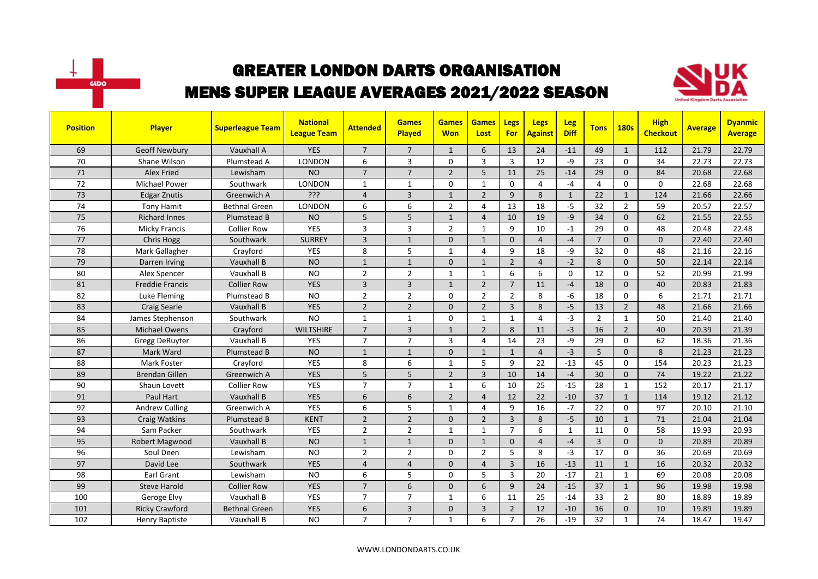



| <b>Position</b> | Player                 | <b>Superleague Team</b> | <b>National</b><br><b>League Team</b> | <b>Attended</b> | <b>Games</b><br>Played | <b>Games</b><br><b>Won</b> | <b>Games</b><br>Lost | Legs<br><b>For</b> | <b>Legs</b><br><b>Against</b> | <b>Leg</b><br><b>Diff</b> | <b>Tons</b>    | <b>180s</b>    | <b>High</b><br><b>Checkout</b> | <b>Average</b> | <b>Dyanmic</b><br><b>Average</b> |
|-----------------|------------------------|-------------------------|---------------------------------------|-----------------|------------------------|----------------------------|----------------------|--------------------|-------------------------------|---------------------------|----------------|----------------|--------------------------------|----------------|----------------------------------|
| 69              | <b>Geoff Newbury</b>   | Vauxhall A              | <b>YES</b>                            | $\overline{7}$  | $\overline{7}$         | $\mathbf{1}$               | 6                    | 13                 | 24                            | $-11$                     | 49             | $\mathbf{1}$   | 112                            | 21.79          | 22.79                            |
| 70              | Shane Wilson           | Plumstead A             | <b>LONDON</b>                         | 6               | 3                      | 0                          | 3                    | $\overline{3}$     | 12                            | -9                        | 23             | $\Omega$       | 34                             | 22.73          | 22.73                            |
| 71              | <b>Alex Fried</b>      | Lewisham                | <b>NO</b>                             | $\overline{7}$  | $\overline{7}$         | $\overline{2}$             | 5                    | 11                 | 25                            | $-14$                     | 29             | $\mathbf{0}$   | 84                             | 20.68          | 22.68                            |
| 72              | <b>Michael Power</b>   | Southwark               | LONDON                                | $\mathbf{1}$    | $\mathbf{1}$           | 0                          | $\mathbf{1}$         | $\mathbf 0$        | 4                             | $-4$                      | $\overline{4}$ | $\mathbf 0$    | 0                              | 22.68          | 22.68                            |
| 73              | <b>Edgar Znutis</b>    | Greenwich A             | ?ְיָ                                  | $\overline{4}$  | $\overline{3}$         | $\mathbf{1}$               | $\overline{2}$       | 9                  | 8                             | $\mathbf{1}$              | 22             | $\mathbf{1}$   | 124                            | 21.66          | 22.66                            |
| 74              | <b>Tony Hamit</b>      | <b>Bethnal Green</b>    | <b>LONDON</b>                         | 6               | 6                      | $\overline{2}$             | $\overline{4}$       | 13                 | 18                            | $-5$                      | 32             | $\overline{2}$ | 59                             | 20.57          | 22.57                            |
| 75              | <b>Richard Innes</b>   | Plumstead B             | <b>NO</b>                             | 5               | 5                      | $\mathbf{1}$               | $\overline{4}$       | 10                 | 19                            | $-9$                      | 34             | $\Omega$       | 62                             | 21.55          | 22.55                            |
| 76              | <b>Micky Francis</b>   | <b>Collier Row</b>      | YES                                   | 3               | $\overline{3}$         | $\overline{2}$             | $\mathbf{1}$         | 9                  | 10                            | $-1$                      | 29             | $\mathbf 0$    | 48                             | 20.48          | 22.48                            |
| 77              | <b>Chris Hogg</b>      | Southwark               | <b>SURREY</b>                         | $\overline{3}$  | $\mathbf{1}$           | 0                          | $\mathbf{1}$         | $\mathbf{0}$       | $\overline{4}$                | $-4$                      | $\overline{7}$ | $\mathbf{0}$   | $\mathbf{0}$                   | 22.40          | 22.40                            |
| 78              | Mark Gallagher         | Crayford                | <b>YES</b>                            | 8               | 5                      | 1                          | 4                    | 9                  | 18                            | -9                        | 32             | $\mathbf 0$    | 48                             | 21.16          | 22.16                            |
| 79              | Darren Irving          | Vauxhall B              | <b>NO</b>                             | $\mathbf{1}$    | $\mathbf{1}$           | $\Omega$                   | $\mathbf{1}$         | $\overline{2}$     | $\overline{4}$                | $-2$                      | 8              | $\Omega$       | 50                             | 22.14          | 22.14                            |
| 80              | Alex Spencer           | Vauxhall B              | <b>NO</b>                             | $\overline{2}$  | $\overline{2}$         | $\mathbf{1}$               | $\mathbf{1}$         | 6                  | 6                             | $\mathbf{0}$              | 12             | $\Omega$       | 52                             | 20.99          | 21.99                            |
| 81              | <b>Freddie Francis</b> | <b>Collier Row</b>      | <b>YES</b>                            | 3               | $\overline{3}$         | $\mathbf{1}$               | $\overline{2}$       | $\overline{7}$     | 11                            | $-4$                      | 18             | $\mathbf 0$    | 40                             | 20.83          | 21.83                            |
| 82              | Luke Fleming           | Plumstead B             | <b>NO</b>                             | $\overline{2}$  | $\overline{2}$         | 0                          | $\overline{2}$       | $\overline{2}$     | 8                             | $-6$                      | 18             | $\Omega$       | 6                              | 21.71          | 21.71                            |
| 83              | <b>Craig Searle</b>    | Vauxhall B              | <b>YES</b>                            | $\overline{2}$  | $\overline{2}$         | $\Omega$                   | $\overline{2}$       | $\overline{3}$     | 8                             | $-5$                      | 13             | $\overline{2}$ | 48                             | 21.66          | 21.66                            |
| 84              | James Stephenson       | Southwark               | <b>NO</b>                             | $\mathbf{1}$    | $\mathbf{1}$           | $\Omega$                   | $\mathbf{1}$         | $\mathbf{1}$       | 4                             | $-3$                      | $\overline{2}$ | $\mathbf{1}$   | 50                             | 21.40          | 21.40                            |
| 85              | <b>Michael Owens</b>   | Crayford                | <b>WILTSHIRE</b>                      | $\overline{7}$  | $\overline{3}$         | $\mathbf{1}$               | $\overline{2}$       | 8                  | 11                            | $-3$                      | 16             | $\overline{2}$ | 40                             | 20.39          | 21.39                            |
| 86              | <b>Gregg DeRuyter</b>  | Vauxhall B              | <b>YES</b>                            | $\overline{7}$  | $\overline{7}$         | 3                          | 4                    | 14                 | 23                            | -9                        | 29             | $\mathbf 0$    | 62                             | 18.36          | 21.36                            |
| 87              | Mark Ward              | Plumstead B             | <b>NO</b>                             | $\mathbf{1}$    | $\mathbf{1}$           | $\Omega$                   | $\mathbf{1}$         | $\mathbf{1}$       | $\overline{4}$                | $-3$                      | 5              | $\Omega$       | 8                              | 21.23          | 21.23                            |
| 88              | Mark Foster            | Crayford                | YES                                   | 8               | 6                      | 1                          | 5                    | 9                  | 22                            | $-13$                     | 45             | $\Omega$       | 154                            | 20.23          | 21.23                            |
| 89              | <b>Brendan Gillen</b>  | Greenwich A             | <b>YES</b>                            | 5               | 5                      | $\overline{2}$             | $\overline{3}$       | 10                 | 14                            | $-4$                      | 30             | $\Omega$       | 74                             | 19.22          | 21.22                            |
| 90              | Shaun Lovett           | <b>Collier Row</b>      | YES                                   | $\overline{7}$  | $\overline{7}$         | $\mathbf{1}$               | 6                    | 10                 | 25                            | $-15$                     | 28             | $\mathbf{1}$   | 152                            | 20.17          | 21.17                            |
| 91              | Paul Hart              | Vauxhall B              | <b>YES</b>                            | 6               | 6                      | $\overline{2}$             | $\overline{4}$       | 12                 | 22                            | $-10$                     | 37             | $\mathbf{1}$   | 114                            | 19.12          | 21.12                            |
| 92              | <b>Andrew Culling</b>  | Greenwich A             | YES                                   | 6               | 5                      | 1                          | 4                    | 9                  | 16                            | $-7$                      | 22             | $\Omega$       | 97                             | 20.10          | 21.10                            |
| 93              | Craig Watkins          | Plumstead B             | <b>KENT</b>                           | $\overline{2}$  | $\overline{2}$         | $\mathbf{0}$               | $\overline{2}$       | $\overline{3}$     | 8                             | $-5$                      | 10             | $\mathbf{1}$   | 71                             | 21.04          | 21.04                            |
| 94              | Sam Packer             | Southwark               | <b>YES</b>                            | $\overline{2}$  | $\overline{2}$         | $\mathbf{1}$               | $\mathbf{1}$         | $\overline{7}$     | 6                             | $\mathbf{1}$              | 11             | $\Omega$       | 58                             | 19.93          | 20.93                            |
| 95              | Robert Magwood         | Vauxhall B              | <b>NO</b>                             | $\mathbf{1}$    | $\mathbf{1}$           | 0                          | $\mathbf{1}$         | $\mathbf{0}$       | $\overline{4}$                | $-4$                      | $\overline{3}$ | $\mathbf{0}$   | $\mathbf{0}$                   | 20.89          | 20.89                            |
| 96              | Soul Deen              | Lewisham                | <b>NO</b>                             | $\overline{2}$  | $\overline{2}$         | $\Omega$                   | $\overline{2}$       | 5                  | 8                             | $-3$                      | 17             | $\Omega$       | 36                             | 20.69          | 20.69                            |
| 97              | David Lee              | Southwark               | <b>YES</b>                            | $\overline{4}$  | $\overline{4}$         | 0                          | $\overline{4}$       | $\overline{3}$     | 16                            | $-13$                     | 11             | $\mathbf{1}$   | 16                             | 20.32          | 20.32                            |
| 98              | Earl Grant             | Lewisham                | <b>NO</b>                             | 6               | 5                      | 0                          | 5                    | $\overline{3}$     | 20                            | $-17$                     | 21             | $\mathbf{1}$   | 69                             | 20.08          | 20.08                            |
| 99              | <b>Steve Harold</b>    | <b>Collier Row</b>      | <b>YES</b>                            | $\overline{7}$  | 6                      | 0                          | 6                    | 9                  | 24                            | $-15$                     | 37             | $\mathbf{1}$   | 96                             | 19.98          | 19.98                            |
| 100             | Geroge Elvy            | Vauxhall B              | <b>YES</b>                            | $\overline{7}$  | $\overline{7}$         | 1                          | 6                    | 11                 | 25                            | $-14$                     | 33             | $\overline{2}$ | 80                             | 18.89          | 19.89                            |
| 101             | <b>Ricky Crawford</b>  | <b>Bethnal Green</b>    | <b>YES</b>                            | 6               | $\overline{3}$         | 0                          | 3                    | $\overline{2}$     | 12                            | $-10$                     | 16             | $\mathbf{0}$   | 10                             | 19.89          | 19.89                            |
| 102             | <b>Henry Baptiste</b>  | Vauxhall B              | <b>NO</b>                             | $\overline{7}$  | $\overline{7}$         | $\mathbf{1}$               | 6                    | $\overline{7}$     | 26                            | $-19$                     | 32             | $\mathbf{1}$   | 74                             | 18.47          | 19.47                            |